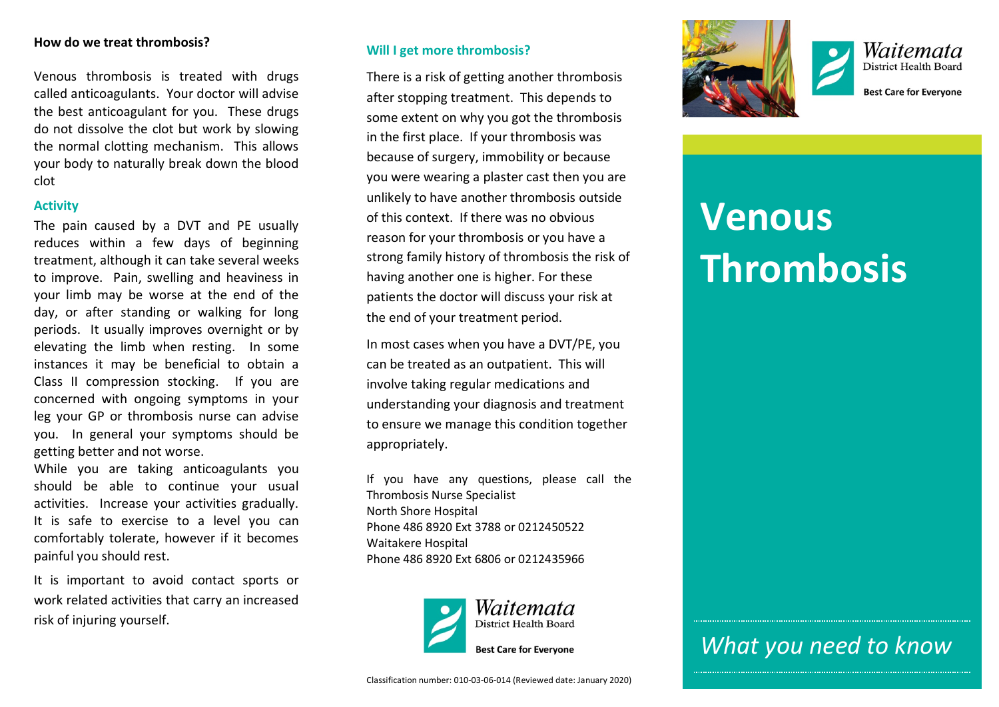#### **How do we treat thrombosis?**

Venous thrombosis is treated with drugs called anticoagulants. Your doctor will advise the best anticoagulant for you. These drugs do not dissolve the clot but work by slowing the normal clotting mechanism. This allows your body to naturally break down the blood clot

#### **Activity**

The pain caused by a DVT and PE usually reduces within a few days of beginning treatment, although it can take several weeks to improve. Pain, swelling and heaviness in your limb may be worse at the end of the day, or after standing or walking for long periods. It usually improves overnight or by elevating the limb when resting. In some instances it may be beneficial to obtain a Class II compression stocking. If you are concerned with ongoing symptoms in your leg your GP or thrombosis nurse can advise you. In general your symptoms should be getting better and not worse.

While you are taking anticoagulants you should be able to continue your usual activities. Increase your activities gradually. It is safe to exercise to a level you can comfortably tolerate, however if it becomes painful you should rest.

It is important to avoid contact sports or work related activities that carry an increased risk of injuring yourself.

#### **Will I get more thrombosis?**

There is a risk of getting another thrombosis after stopping treatment. This depends to some extent on why you got the thrombosis in the first place. If your thrombosis was because of surgery, immobility or because you were wearing a plaster cast then you are unlikely to have another thrombosis outside of this context. If there was no obvious reason for your thrombosis or you have a strong family history of thrombosis the risk of having another one is higher. For these patients the doctor will discuss your risk at the end of your treatment period.

In most cases when you have a DVT/PE, you can be treated as an outpatient. This will involve taking regular medications and understanding your diagnosis and treatment to ensure we manage this condition together appropriately.

If you have any questions, please call the Thrombosis Nurse Specialist North Shore Hospital Phone 486 8920 Ext 3788 or 0212450522 Waitakere Hospital Phone 486 8920 Ext 6806 or 0212435966







**Best Care for Evervone** 

# **Venous Thrombosis**

# *What you need to know*